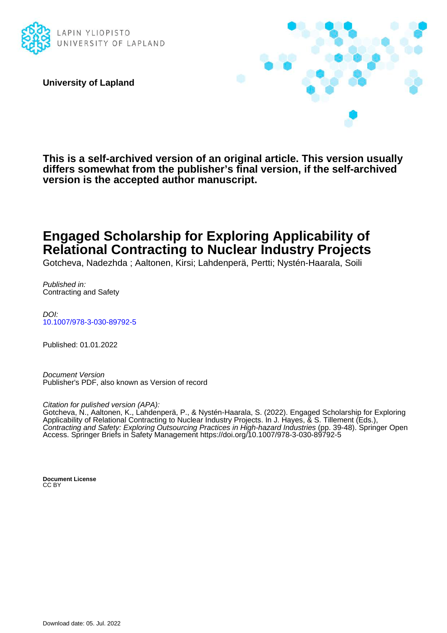

**University of Lapland**



**This is a self-archived version of an original article. This version usually differs somewhat from the publisher's final version, if the self-archived version is the accepted author manuscript.**

# **Engaged Scholarship for Exploring Applicability of Relational Contracting to Nuclear Industry Projects**

Gotcheva, Nadezhda ; Aaltonen, Kirsi; Lahdenperä, Pertti; Nystén-Haarala, Soili

Published in: Contracting and Safety

DOI: [10.1007/978-3-030-89792-5](https://doi.org/10.1007/978-3-030-89792-5)

Published: 01.01.2022

Document Version Publisher's PDF, also known as Version of record

Citation for pulished version (APA):

Gotcheva, N., Aaltonen, K., Lahdenperä, P., & Nystén-Haarala, S. (2022). Engaged Scholarship for Exploring Applicability of Relational Contracting to Nuclear Industry Projects. In J. Hayes, & S. Tillement (Eds.), Contracting and Safety: Exploring Outsourcing Practices in High-hazard Industries (pp. 39-48). Springer Open Access. Springer Briefs in Safety Management <https://doi.org/10.1007/978-3-030-89792-5>

**Document License** CC BY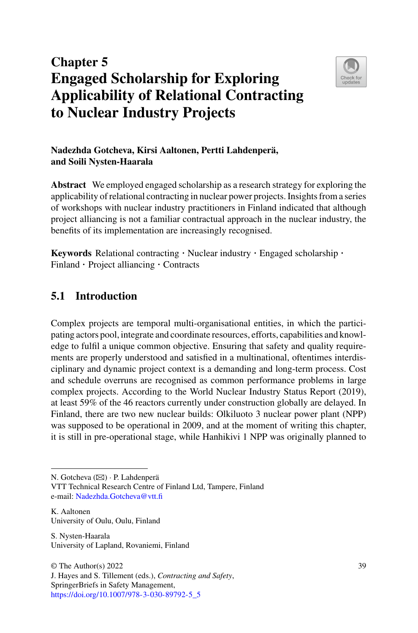## **Chapter 5 Engaged Scholarship for Exploring Applicability of Relational Contracting to Nuclear Industry Projects**



#### **Nadezhda Gotcheva, Kirsi Aaltonen, Pertti Lahdenperä, and Soili Nysten-Haarala**

**Abstract** We employed engaged scholarship as a research strategy for exploring the applicability of relational contracting in nuclear power projects. Insights from a series of workshops with nuclear industry practitioners in Finland indicated that although project alliancing is not a familiar contractual approach in the nuclear industry, the benefits of its implementation are increasingly recognised.

**Keywords** Relational contracting · Nuclear industry · Engaged scholarship · Finland · Project alliancing · Contracts

## **5.1 Introduction**

Complex projects are temporal multi-organisational entities, in which the participating actors pool, integrate and coordinate resources, efforts, capabilities and knowledge to fulfil a unique common objective. Ensuring that safety and quality requirements are properly understood and satisfied in a multinational, oftentimes interdisciplinary and dynamic project context is a demanding and long-term process. Cost and schedule overruns are recognised as common performance problems in large complex projects. According to the World Nuclear Industry Status Report (2019), at least 59% of the 46 reactors currently under construction globally are delayed. In Finland, there are two new nuclear builds: Olkiluoto 3 nuclear power plant (NPP) was supposed to be operational in 2009, and at the moment of writing this chapter, it is still in pre-operational stage, while Hanhikivi 1 NPP was originally planned to

N. Gotcheva (B) · P. Lahdenperä

VTT Technical Research Centre of Finland Ltd, Tampere, Finland e-mail: [Nadezhda.Gotcheva@vtt.fi](mailto:Nadezhda.Gotcheva@vtt.fi)

K. Aaltonen University of Oulu, Oulu, Finland

S. Nysten-Haarala University of Lapland, Rovaniemi, Finland

© The Author(s) 2022 J. Hayes and S. Tillement (eds.), *Contracting and Safety*, SpringerBriefs in Safety Management, [https://doi.org/10.1007/978-3-030-89792-5\\_5](https://doi.org/10.1007/978-3-030-89792-5_5)

39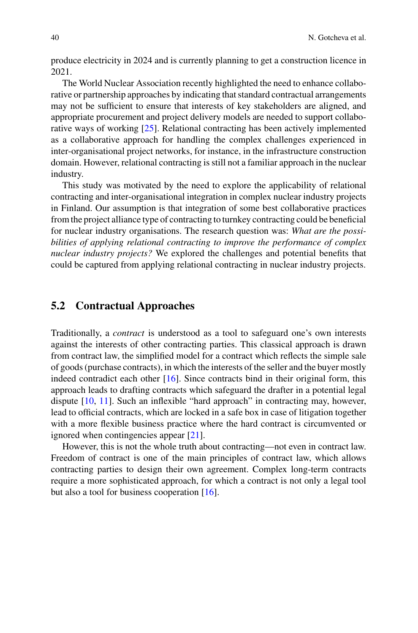produce electricity in 2024 and is currently planning to get a construction licence in 2021.

The World Nuclear Association recently highlighted the need to enhance collaborative or partnership approaches by indicating that standard contractual arrangements may not be sufficient to ensure that interests of key stakeholders are aligned, and appropriate procurement and project delivery models are needed to support collaborative ways of working [\[25\]](#page-9-0). Relational contracting has been actively implemented as a collaborative approach for handling the complex challenges experienced in inter-organisational project networks, for instance, in the infrastructure construction domain. However, relational contracting is still not a familiar approach in the nuclear industry.

This study was motivated by the need to explore the applicability of relational contracting and inter-organisational integration in complex nuclear industry projects in Finland. Our assumption is that integration of some best collaborative practices from the project alliance type of contracting to turnkey contracting could be beneficial for nuclear industry organisations. The research question was: *What are the possibilities of applying relational contracting to improve the performance of complex nuclear industry projects?* We explored the challenges and potential benefits that could be captured from applying relational contracting in nuclear industry projects.

#### **5.2 Contractual Approaches**

Traditionally, a *contract* is understood as a tool to safeguard one's own interests against the interests of other contracting parties. This classical approach is drawn from contract law, the simplified model for a contract which reflects the simple sale of goods (purchase contracts), in which the interests of the seller and the buyer mostly indeed contradict each other [\[16\]](#page-9-1). Since contracts bind in their original form, this approach leads to drafting contracts which safeguard the drafter in a potential legal dispute [\[10,](#page-9-2) [11\]](#page-9-3). Such an inflexible "hard approach" in contracting may, however, lead to official contracts, which are locked in a safe box in case of litigation together with a more flexible business practice where the hard contract is circumvented or ignored when contingencies appear [\[21\]](#page-9-4).

However, this is not the whole truth about contracting—not even in contract law. Freedom of contract is one of the main principles of contract law, which allows contracting parties to design their own agreement. Complex long-term contracts require a more sophisticated approach, for which a contract is not only a legal tool but also a tool for business cooperation [\[16\]](#page-9-1).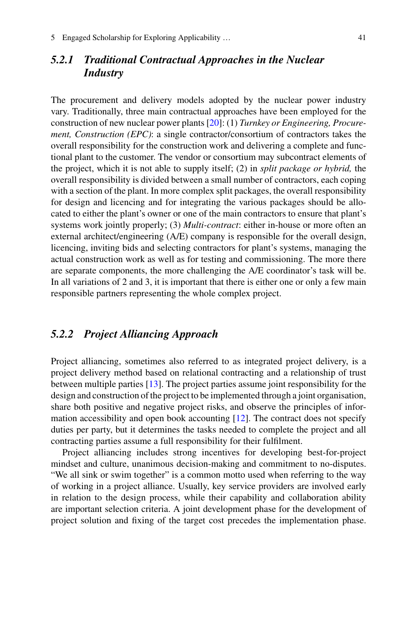## *5.2.1 Traditional Contractual Approaches in the Nuclear Industry*

The procurement and delivery models adopted by the nuclear power industry vary. Traditionally, three main contractual approaches have been employed for the construction of new nuclear power plants [\[20\]](#page-9-5): (1) *Turnkey or Engineering, Procurement, Construction (EPC)*: a single contractor/consortium of contractors takes the overall responsibility for the construction work and delivering a complete and functional plant to the customer. The vendor or consortium may subcontract elements of the project, which it is not able to supply itself; (2) in *split package or hybrid,* the overall responsibility is divided between a small number of contractors, each coping with a section of the plant. In more complex split packages, the overall responsibility for design and licencing and for integrating the various packages should be allocated to either the plant's owner or one of the main contractors to ensure that plant's systems work jointly properly; (3) *Multi-contract*: either in-house or more often an external architect/engineering (A/E) company is responsible for the overall design, licencing, inviting bids and selecting contractors for plant's systems, managing the actual construction work as well as for testing and commissioning. The more there are separate components, the more challenging the A/E coordinator's task will be. In all variations of 2 and 3, it is important that there is either one or only a few main responsible partners representing the whole complex project.

#### *5.2.2 Project Alliancing Approach*

Project alliancing, sometimes also referred to as integrated project delivery, is a project delivery method based on relational contracting and a relationship of trust between multiple parties [\[13\]](#page-9-6). The project parties assume joint responsibility for the design and construction of the project to be implemented through a joint organisation, share both positive and negative project risks, and observe the principles of information accessibility and open book accounting [\[12\]](#page-9-7). The contract does not specify duties per party, but it determines the tasks needed to complete the project and all contracting parties assume a full responsibility for their fulfilment.

Project alliancing includes strong incentives for developing best-for-project mindset and culture, unanimous decision-making and commitment to no-disputes. "We all sink or swim together" is a common motto used when referring to the way of working in a project alliance. Usually, key service providers are involved early in relation to the design process, while their capability and collaboration ability are important selection criteria. A joint development phase for the development of project solution and fixing of the target cost precedes the implementation phase.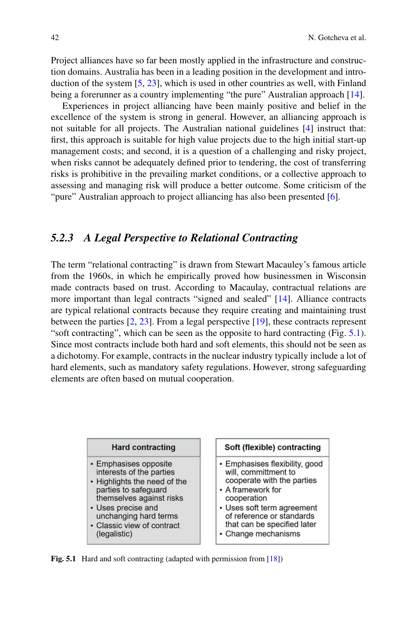Project alliances have so far been mostly applied in the infrastructure and construction domains. Australia has been in a leading position in the development and introduction of the system [\[5,](#page-9-8) [23\]](#page-9-9), which is used in other countries as well, with Finland being a forerunner as a country implementing "the pure" Australian approach [\[14\]](#page-9-10).

Experiences in project alliancing have been mainly positive and belief in the excellence of the system is strong in general. However, an alliancing approach is not suitable for all projects. The Australian national guidelines [\[4\]](#page-8-0) instruct that: first, this approach is suitable for high value projects due to the high initial start-up management costs; and second, it is a question of a challenging and risky project, when risks cannot be adequately defined prior to tendering, the cost of transferring risks is prohibitive in the prevailing market conditions, or a collective approach to assessing and managing risk will produce a better outcome. Some criticism of the "pure" Australian approach to project alliancing has also been presented [\[6\]](#page-9-11).

#### *5.2.3 A Legal Perspective to Relational Contracting*

The term "relational contracting" is drawn from Stewart Macauley's famous article from the 1960s, in which he empirically proved how businessmen in Wisconsin made contracts based on trust. According to Macaulay, contractual relations are more important than legal contracts "signed and sealed" [\[14\]](#page-9-10). Alliance contracts are typical relational contracts because they require creating and maintaining trust between the parties [\[2,](#page-8-1) [23\]](#page-9-9). From a legal perspective [\[19\]](#page-9-12), these contracts represent "soft contracting", which can be seen as the opposite to hard contracting (Fig. [5.1\)](#page-4-0). Since most contracts include both hard and soft elements, this should not be seen as a dichotomy. For example, contracts in the nuclear industry typically include a lot of hard elements, such as mandatory safety regulations. However, strong safeguarding elements are often based on mutual cooperation.



<span id="page-4-0"></span>**Fig. 5.1** Hard and soft contracting (adapted with permission from [\[18\]](#page-9-13))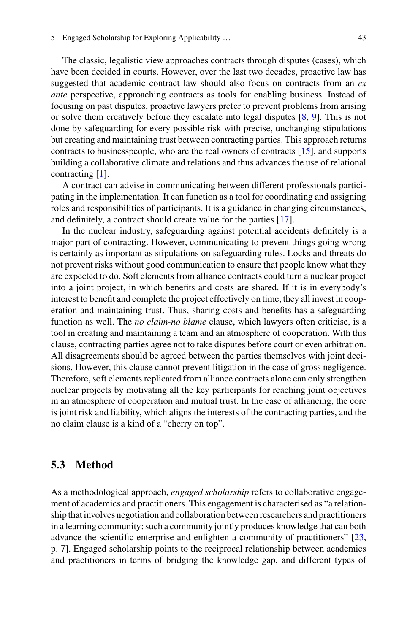The classic, legalistic view approaches contracts through disputes (cases), which have been decided in courts. However, over the last two decades, proactive law has suggested that academic contract law should also focus on contracts from an *ex ante* perspective, approaching contracts as tools for enabling business. Instead of focusing on past disputes, proactive lawyers prefer to prevent problems from arising or solve them creatively before they escalate into legal disputes [\[8,](#page-9-14) [9\]](#page-9-15). This is not done by safeguarding for every possible risk with precise, unchanging stipulations but creating and maintaining trust between contracting parties. This approach returns contracts to businesspeople, who are the real owners of contracts [\[15\]](#page-9-16), and supports building a collaborative climate and relations and thus advances the use of relational contracting [\[1\]](#page-8-2).

A contract can advise in communicating between different professionals participating in the implementation. It can function as a tool for coordinating and assigning roles and responsibilities of participants. It is a guidance in changing circumstances, and definitely, a contract should create value for the parties [\[17\]](#page-9-17).

In the nuclear industry, safeguarding against potential accidents definitely is a major part of contracting. However, communicating to prevent things going wrong is certainly as important as stipulations on safeguarding rules. Locks and threats do not prevent risks without good communication to ensure that people know what they are expected to do. Soft elements from alliance contracts could turn a nuclear project into a joint project, in which benefits and costs are shared. If it is in everybody's interest to benefit and complete the project effectively on time, they all invest in cooperation and maintaining trust. Thus, sharing costs and benefits has a safeguarding function as well. The *no claim-no blame* clause, which lawyers often criticise, is a tool in creating and maintaining a team and an atmosphere of cooperation. With this clause, contracting parties agree not to take disputes before court or even arbitration. All disagreements should be agreed between the parties themselves with joint decisions. However, this clause cannot prevent litigation in the case of gross negligence. Therefore, soft elements replicated from alliance contracts alone can only strengthen nuclear projects by motivating all the key participants for reaching joint objectives in an atmosphere of cooperation and mutual trust. In the case of alliancing, the core is joint risk and liability, which aligns the interests of the contracting parties, and the no claim clause is a kind of a "cherry on top".

#### **5.3 Method**

As a methodological approach, *engaged scholarship* refers to collaborative engagement of academics and practitioners. This engagement is characterised as "a relationship that involves negotiation and collaboration between researchers and practitioners in a learning community; such a community jointly produces knowledge that can both advance the scientific enterprise and enlighten a community of practitioners" [\[23,](#page-9-9) p. 7]. Engaged scholarship points to the reciprocal relationship between academics and practitioners in terms of bridging the knowledge gap, and different types of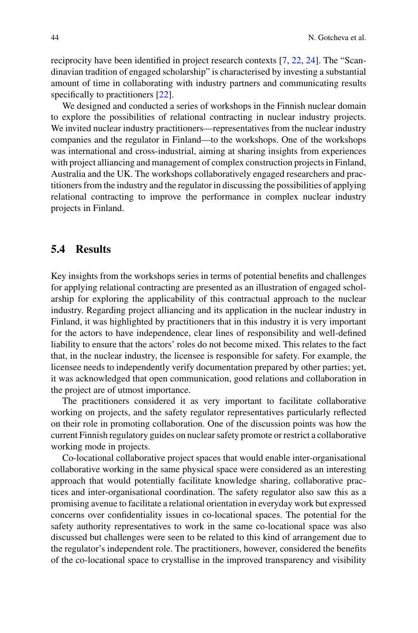reciprocity have been identified in project research contexts [\[7,](#page-9-18) [22,](#page-9-19) [24\]](#page-9-20). The "Scandinavian tradition of engaged scholarship" is characterised by investing a substantial amount of time in collaborating with industry partners and communicating results specifically to practitioners [\[22\]](#page-9-19).

We designed and conducted a series of workshops in the Finnish nuclear domain to explore the possibilities of relational contracting in nuclear industry projects. We invited nuclear industry practitioners—representatives from the nuclear industry companies and the regulator in Finland—to the workshops. One of the workshops was international and cross-industrial, aiming at sharing insights from experiences with project alliancing and management of complex construction projects in Finland, Australia and the UK. The workshops collaboratively engaged researchers and practitioners from the industry and the regulator in discussing the possibilities of applying relational contracting to improve the performance in complex nuclear industry projects in Finland.

#### **5.4 Results**

Key insights from the workshops series in terms of potential benefits and challenges for applying relational contracting are presented as an illustration of engaged scholarship for exploring the applicability of this contractual approach to the nuclear industry. Regarding project alliancing and its application in the nuclear industry in Finland, it was highlighted by practitioners that in this industry it is very important for the actors to have independence, clear lines of responsibility and well-defined liability to ensure that the actors' roles do not become mixed. This relates to the fact that, in the nuclear industry, the licensee is responsible for safety. For example, the licensee needs to independently verify documentation prepared by other parties; yet, it was acknowledged that open communication, good relations and collaboration in the project are of utmost importance.

The practitioners considered it as very important to facilitate collaborative working on projects, and the safety regulator representatives particularly reflected on their role in promoting collaboration. One of the discussion points was how the current Finnish regulatory guides on nuclear safety promote or restrict a collaborative working mode in projects.

Co-locational collaborative project spaces that would enable inter-organisational collaborative working in the same physical space were considered as an interesting approach that would potentially facilitate knowledge sharing, collaborative practices and inter-organisational coordination. The safety regulator also saw this as a promising avenue to facilitate a relational orientation in everyday work but expressed concerns over confidentiality issues in co-locational spaces. The potential for the safety authority representatives to work in the same co-locational space was also discussed but challenges were seen to be related to this kind of arrangement due to the regulator's independent role. The practitioners, however, considered the benefits of the co-locational space to crystallise in the improved transparency and visibility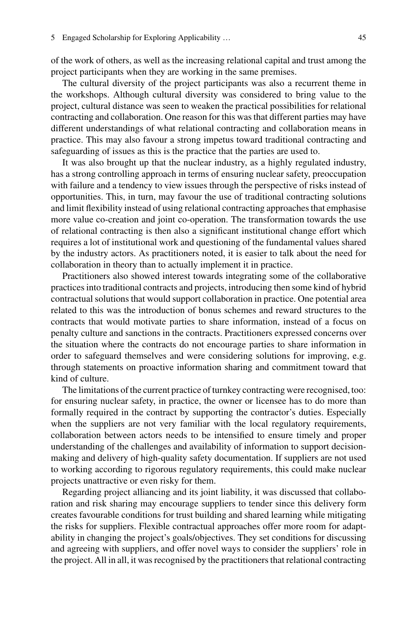of the work of others, as well as the increasing relational capital and trust among the project participants when they are working in the same premises.

The cultural diversity of the project participants was also a recurrent theme in the workshops. Although cultural diversity was considered to bring value to the project, cultural distance was seen to weaken the practical possibilities for relational contracting and collaboration. One reason for this was that different parties may have different understandings of what relational contracting and collaboration means in practice. This may also favour a strong impetus toward traditional contracting and safeguarding of issues as this is the practice that the parties are used to.

It was also brought up that the nuclear industry, as a highly regulated industry, has a strong controlling approach in terms of ensuring nuclear safety, preoccupation with failure and a tendency to view issues through the perspective of risks instead of opportunities. This, in turn, may favour the use of traditional contracting solutions and limit flexibility instead of using relational contracting approaches that emphasise more value co-creation and joint co-operation. The transformation towards the use of relational contracting is then also a significant institutional change effort which requires a lot of institutional work and questioning of the fundamental values shared by the industry actors. As practitioners noted, it is easier to talk about the need for collaboration in theory than to actually implement it in practice.

Practitioners also showed interest towards integrating some of the collaborative practices into traditional contracts and projects, introducing then some kind of hybrid contractual solutions that would support collaboration in practice. One potential area related to this was the introduction of bonus schemes and reward structures to the contracts that would motivate parties to share information, instead of a focus on penalty culture and sanctions in the contracts. Practitioners expressed concerns over the situation where the contracts do not encourage parties to share information in order to safeguard themselves and were considering solutions for improving, e.g. through statements on proactive information sharing and commitment toward that kind of culture.

The limitations of the current practice of turnkey contracting were recognised, too: for ensuring nuclear safety, in practice, the owner or licensee has to do more than formally required in the contract by supporting the contractor's duties. Especially when the suppliers are not very familiar with the local regulatory requirements, collaboration between actors needs to be intensified to ensure timely and proper understanding of the challenges and availability of information to support decisionmaking and delivery of high-quality safety documentation. If suppliers are not used to working according to rigorous regulatory requirements, this could make nuclear projects unattractive or even risky for them.

Regarding project alliancing and its joint liability, it was discussed that collaboration and risk sharing may encourage suppliers to tender since this delivery form creates favourable conditions for trust building and shared learning while mitigating the risks for suppliers. Flexible contractual approaches offer more room for adaptability in changing the project's goals/objectives. They set conditions for discussing and agreeing with suppliers, and offer novel ways to consider the suppliers' role in the project. All in all, it was recognised by the practitioners that relational contracting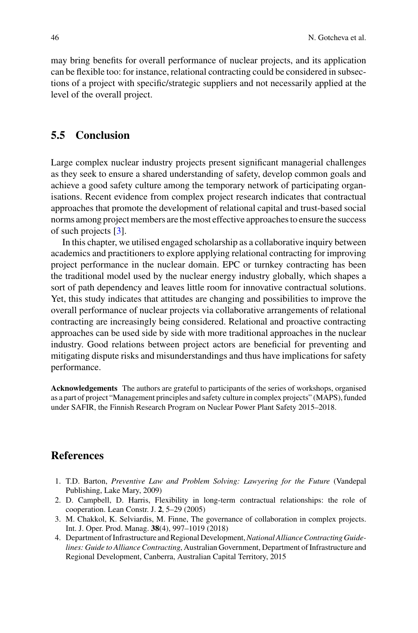may bring benefits for overall performance of nuclear projects, and its application can be flexible too: for instance, relational contracting could be considered in subsections of a project with specific/strategic suppliers and not necessarily applied at the level of the overall project.

#### **5.5 Conclusion**

Large complex nuclear industry projects present significant managerial challenges as they seek to ensure a shared understanding of safety, develop common goals and achieve a good safety culture among the temporary network of participating organisations. Recent evidence from complex project research indicates that contractual approaches that promote the development of relational capital and trust-based social norms among project members are the most effective approaches to ensure the success of such projects [\[3\]](#page-8-3).

In this chapter, we utilised engaged scholarship as a collaborative inquiry between academics and practitioners to explore applying relational contracting for improving project performance in the nuclear domain. EPC or turnkey contracting has been the traditional model used by the nuclear energy industry globally, which shapes a sort of path dependency and leaves little room for innovative contractual solutions. Yet, this study indicates that attitudes are changing and possibilities to improve the overall performance of nuclear projects via collaborative arrangements of relational contracting are increasingly being considered. Relational and proactive contracting approaches can be used side by side with more traditional approaches in the nuclear industry. Good relations between project actors are beneficial for preventing and mitigating dispute risks and misunderstandings and thus have implications for safety performance.

**Acknowledgements** The authors are grateful to participants of the series of workshops, organised as a part of project "Management principles and safety culture in complex projects" (MAPS), funded under SAFIR, the Finnish Research Program on Nuclear Power Plant Safety 2015–2018.

#### **References**

- <span id="page-8-2"></span>1. T.D. Barton, *Preventive Law and Problem Solving: Lawyering for the Future* (Vandepal Publishing, Lake Mary, 2009)
- <span id="page-8-1"></span>2. D. Campbell, D. Harris, Flexibility in long-term contractual relationships: the role of cooperation. Lean Constr. J. **2**, 5–29 (2005)
- <span id="page-8-3"></span>3. M. Chakkol, K. Selviardis, M. Finne, The governance of collaboration in complex projects. Int. J. Oper. Prod. Manag. **38**(4), 997–1019 (2018)
- <span id="page-8-0"></span>4. Department of Infrastructure and Regional Development,*National Alliance Contracting Guidelines: Guide to Alliance Contracting*, Australian Government, Department of Infrastructure and Regional Development, Canberra, Australian Capital Territory, 2015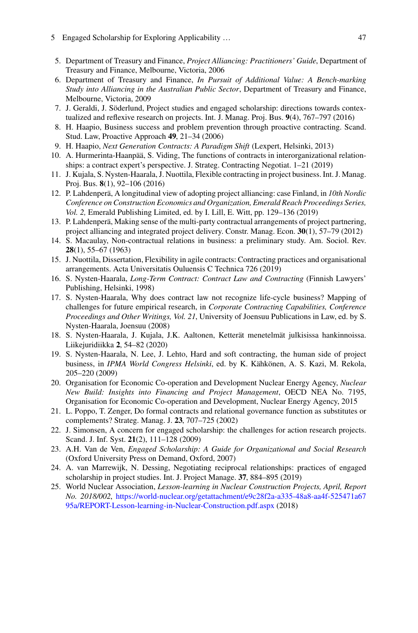- 5 Engaged Scholarship for Exploring Applicability … 47
	- 5. Department of Treasury and Finance, *Project Alliancing: Practitioners' Guide*, Department of Treasury and Finance, Melbourne, Victoria, 2006
- <span id="page-9-11"></span><span id="page-9-8"></span>6. Department of Treasury and Finance, *In Pursuit of Additional Value: A Bench-marking Study into Alliancing in the Australian Public Sector*, Department of Treasury and Finance, Melbourne, Victoria, 2009
- <span id="page-9-18"></span>7. J. Geraldi, J. Söderlund, Project studies and engaged scholarship: directions towards contextualized and reflexive research on projects. Int. J. Manag. Proj. Bus. **9**(4), 767–797 (2016)
- <span id="page-9-14"></span>8. H. Haapio, Business success and problem prevention through proactive contracting. Scand. Stud. Law, Proactive Approach **49**, 21–34 (2006)
- <span id="page-9-15"></span>9. H. Haapio, *Next Generation Contracts: A Paradigm Shift* (Lexpert, Helsinki, 2013)
- <span id="page-9-2"></span>10. A. Hurmerinta-Haanpää, S. Viding, The functions of contracts in interorganizational relationships: a contract expert's perspective. J. Strateg. Contracting Negotiat. 1–21 (2019)
- <span id="page-9-3"></span>11. J. Kujala, S. Nysten-Haarala, J. Nuottila, Flexible contracting in project business. Int. J. Manag. Proj. Bus. **8**(1), 92–106 (2016)
- <span id="page-9-7"></span>12. P. Lahdenperä, A longitudinal view of adopting project alliancing: case Finland, in *10th Nordic Conference on Construction Economics and Organization, Emerald Reach Proceedings Series, Vol. 2,* Emerald Publishing Limited, ed. by I. Lill, E. Witt, pp. 129–136 (2019)
- <span id="page-9-6"></span>13. P. Lahdenperä, Making sense of the multi-party contractual arrangements of project partnering, project alliancing and integrated project delivery. Constr. Manag. Econ. **30**(1), 57–79 (2012)
- <span id="page-9-10"></span>14. S. Macaulay, Non-contractual relations in business: a preliminary study. Am. Sociol. Rev. **28**(1), 55–67 (1963)
- <span id="page-9-16"></span>15. J. Nuottila, Dissertation, Flexibility in agile contracts: Contracting practices and organisational arrangements. Acta Universitatis Ouluensis C Technica 726 (2019)
- <span id="page-9-1"></span>16. S. Nysten-Haarala, *Long-Term Contract: Contract Law and Contracting* (Finnish Lawyers' Publishing, Helsinki, 1998)
- <span id="page-9-17"></span>17. S. Nysten-Haarala, Why does contract law not recognize life-cycle business? Mapping of challenges for future empirical research, in *Corporate Contracting Capabilities, Conference Proceedings and Other Writings, Vol. 21*, University of Joensuu Publications in Law, ed. by S. Nysten-Haarala, Joensuu (2008)
- <span id="page-9-13"></span>18. S. Nysten-Haarala, J. Kujala, J.K. Aaltonen, Ketterät menetelmät julkisissa hankinnoissa. Liikejuridiikka **2**, 54–82 (2020)
- <span id="page-9-12"></span>19. S. Nysten-Haarala, N. Lee, J. Lehto, Hard and soft contracting, the human side of project business, in *IPMA World Congress Helsinki*, ed. by K. Kähkönen, A. S. Kazi, M. Rekola, 205–220 (2009)
- <span id="page-9-5"></span>20. Organisation for Economic Co-operation and Development Nuclear Energy Agency, *Nuclear New Build: Insights into Financing and Project Management*, OECD NEA No. 7195, Organisation for Economic Co-operation and Development, Nuclear Energy Agency, 2015
- <span id="page-9-4"></span>21. L. Poppo, T. Zenger, Do formal contracts and relational governance function as substitutes or complements? Strateg. Manag. J. **23**, 707–725 (2002)
- <span id="page-9-19"></span>22. J. Simonsen, A concern for engaged scholarship: the challenges for action research projects. Scand. J. Inf. Syst. **21**(2), 111–128 (2009)
- <span id="page-9-9"></span>23. A.H. Van de Ven, *Engaged Scholarship: A Guide for Organizational and Social Research* (Oxford University Press on Demand, Oxford, 2007)
- <span id="page-9-20"></span>24. A. van Marrewijk, N. Dessing, Negotiating reciprocal relationships: practices of engaged scholarship in project studies. Int. J. Project Manage. **37**, 884–895 (2019)
- <span id="page-9-0"></span>25. World Nuclear Association, *Lesson-learning in Nuclear Construction Projects, April, Report No. 2018/002*, [https://world-nuclear.org/getattachment/e9c28f2a-a335-48a8-aa4f-525471a67](https://world-nuclear.org/getattachment/e9c28f2a-a335-48a8-aa4f-525471a6795a/REPORT-Lesson-learning-in-Nuclear-Construction.pdf.aspx) 95a/REPORT-Lesson-learning-in-Nuclear-Construction.pdf.aspx (2018)